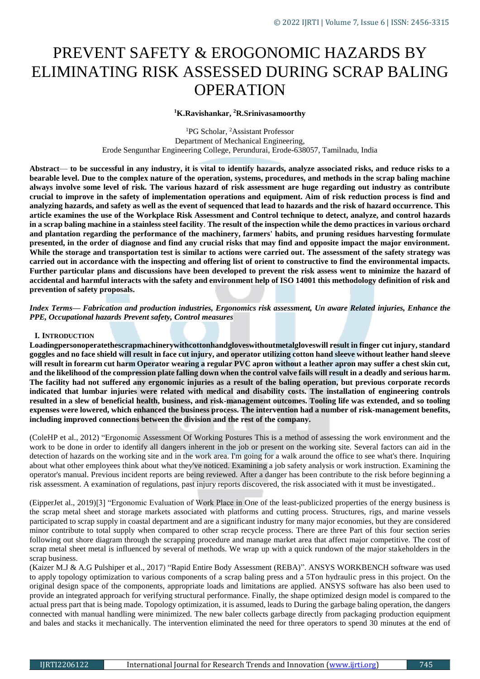# PREVENT SAFETY & EROGONOMIC HAZARDS BY ELIMINATING RISK ASSESSED DURING SCRAP BALING OPERATION

## **<sup>1</sup>K.Ravishankar, <sup>2</sup>R.Srinivasamoorthy**

<sup>1</sup>PG Scholar, <sup>2</sup>Assistant Professor Department of Mechanical Engineering, Erode Sengunthar Engineering College, Perundurai, Erode-638057, Tamilnadu, India

**Abstract**— **to be successful in any industry, it is vital to identify hazards, analyze associated risks, and reduce risks to a bearable level. Due to the complex nature of the operation, systems, procedures, and methods in the scrap baling machine always involve some level of risk. The various hazard of risk assessment are huge regarding out industry as contribute crucial to improve in the safety of implementation operations and equipment. Aim of risk reduction process is find and analyzing hazards, and safety as well as the event of sequenced that lead to hazards and the risk of hazard occurrence. This article examines the use of the Workplace Risk Assessment and Control technique to detect, analyze, and control hazards in a scrap baling machine in a stainless steel facility**. **The result of the inspection while the demo practices in various orchard and plantation regarding the performance of the machinery, farmers' habits, and pruning residues harvesting formulate presented, in the order of diagnose and find any crucial risks that may find and opposite impact the major environment. While the storage and transportation test is similar to actions were carried out. The assessment of the safety strategy was carried out in accordance with the inspecting and offering list of orient to constructive to find the environmental impacts. Further particular plans and discussions have been developed to prevent the risk assess went to minimize the hazard of accidental and harmful interacts with the safety and environment help of ISO 14001 this methodology definition of risk and prevention of safety proposals.**

*Index Terms— Fabrication and production industries, Ergonomics risk assessment, Un aware Related injuries, Enhance the PPE, Occupational hazards Prevent safety, Control measures*

#### **I. INTRODUCTION**

**Loadingpersonoperatethescrapmachinerywithcottonhandgloveswithoutmetalgloveswill result in finger cut injury, standard goggles and no face shield will result in face cut injury, and operator utilizing cotton hand sleeve without leather hand sleeve will result in forearm cut harm Operator wearing a regular PVC apron without a leather apron may suffer a chest skin cut, and the likelihood of the compression plate falling down when the control valve fails will result in a deadly and serious harm. The facility had not suffered any ergonomic injuries as a result of the baling operation, but previous corporate records indicated that lumbar injuries were related with medical and disability costs. The installation of engineering controls resulted in a slew of beneficial health, business, and risk-management outcomes. Tooling life was extended, and so tooling expenses were lowered, which enhanced the business process. The intervention had a number of risk-management benefits, including improved connections between the division and the rest of the company.**

(ColeHP et al., 2012) "Ergonomic Assessment Of Working Postures This is a method of assessing the work environment and the work to be done in order to identify all dangers inherent in the job or present on the working site. Several factors can aid in the detection of hazards on the working site and in the work area. I'm going for a walk around the office to see what's there. Inquiring about what other employees think about what they've noticed. Examining a job safety analysis or work instruction. Examining the operator's manual. Previous incident reports are being reviewed. After a danger has been contribute to the risk before beginning a risk assessment. A examination of regulations, past injury reports discovered, the risk associated with it must be investigated..

(EipperJet al., 2019)[3] "Ergonomic Evaluation of Work Place in One of the least-publicized properties of the energy business is the scrap metal sheet and storage markets associated with platforms and cutting process. Structures, rigs, and marine vessels participated to scrap supply in coastal department and are a significant industry for many major economies, but they are considered minor contribute to total supply when compared to other scrap recycle process. There are three Part of this four section series following out shore diagram through the scrapping procedure and manage market area that affect major competitive. The cost of scrap metal sheet metal is influenced by several of methods. We wrap up with a quick rundown of the major stakeholders in the scrap business.

(Kaizer M.J & A.G Pulshiper et al., 2017) "Rapid Entire Body Assessment (REBA)". ANSYS WORKBENCH software was used to apply topology optimization to various components of a scrap baling press and a 5Ton hydraulic press in this project. On the original design space of the components, appropriate loads and limitations are applied. ANSYS software has also been used to provide an integrated approach for verifying structural performance. Finally, the shape optimized design model is compared to the actual press part that is being made. Topology optimization, it is assumed, leads to During the garbage baling operation, the dangers connected with manual handling were minimized. The new baler collects garbage directly from packaging production equipment and bales and stacks it mechanically. The intervention eliminated the need for three operators to spend 30 minutes at the end of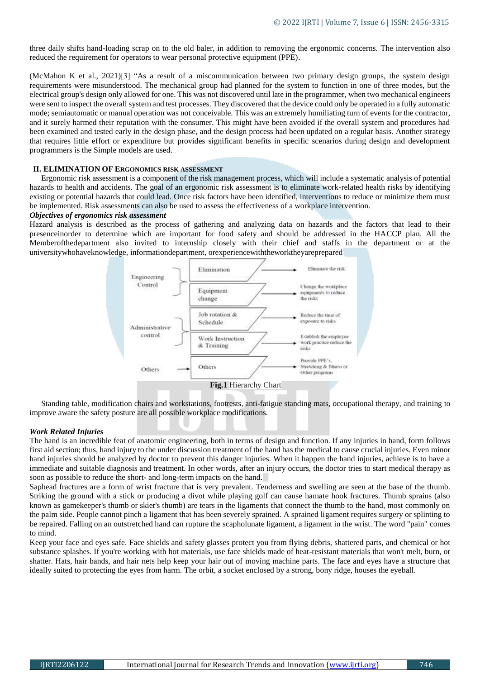three daily shifts hand-loading scrap on to the old baler, in addition to removing the ergonomic concerns. The intervention also reduced the requirement for operators to wear personal protective equipment (PPE).

(McMahon K et al., 2021)[3] "As a result of a miscommunication between two primary design groups, the system design requirements were misunderstood. The mechanical group had planned for the system to function in one of three modes, but the electrical group's design only allowed for one. This was not discovered until late in the programmer, when two mechanical engineers were sent to inspect the overall system and test processes. They discovered that the device could only be operated in a fully automatic mode; semiautomatic or manual operation was not conceivable. This was an extremely humiliating turn of events for the contractor, and it surely harmed their reputation with the consumer. This might have been avoided if the overall system and procedures had been examined and tested early in the design phase, and the design process had been updated on a regular basis. Another strategy that requires little effort or expenditure but provides significant benefits in specific scenarios during design and development programmers is the Simple models are used.

#### **II. ELIMINATION OF ERGONOMICS RISK ASSESSMENT**

Ergonomic risk assessment is a component of the risk management process, which will include a systematic analysis of potential hazards to health and accidents. The goal of an ergonomic risk assessment is to eliminate work-related health risks by identifying existing or potential hazards that could lead. Once risk factors have been identified, interventions to reduce or minimize them must be implemented. Risk assessments can also be used to assess the effectiveness of a workplace intervention.

#### *Objectives of ergonomics risk assessment*

Hazard analysis is described as the process of gathering and analyzing data on hazards and the factors that lead to their presenceinorder to determine which are important for food safety and should be addressed in the HACCP plan. All the Memberofthedepartment also invited to internship closely with their chief and staffs in the department or at the universitywhohaveknowledge, informationdepartment, orexperiencewiththeworktheyareprepared



Standing table, modification chairs and workstations, footrests, anti-fatigue standing mats, occupational therapy, and training to improve aware the safety posture are all possible workplace modifications.

#### *Work Related Injuries*

The hand is an incredible feat of anatomic engineering, both in terms of design and function. If any injuries in hand, form follows first aid section; thus, hand injury to the under discussion treatment of the hand has the medical to cause crucial injuries. Even minor hand injuries should be analyzed by doctor to prevent this danger injuries. When it happen the hand injuries, achieve is to have a immediate and suitable diagnosis and treatment. In other words, after an injury occurs, the doctor tries to start medical therapy as soon as possible to reduce the short- and long-term impacts on the hand.

Saphead fractures are a form of wrist fracture that is very prevalent. Tenderness and swelling are seen at the base of the thumb. Striking the ground with a stick or producing a divot while playing golf can cause hamate hook fractures. Thumb sprains (also known as gamekeeper's thumb or skier's thumb) are tears in the ligaments that connect the thumb to the hand, most commonly on the palm side. People cannot pinch a ligament that has been severely sprained. A sprained ligament requires surgery or splinting to be repaired. Falling on an outstretched hand can rupture the scapholunate ligament, a ligament in the wrist. The word "pain" comes to mind.

Keep your face and eyes safe. Face shields and safety glasses protect you from flying debris, shattered parts, and chemical or hot substance splashes. If you're working with hot materials, use face shields made of heat-resistant materials that won't melt, burn, or shatter. Hats, hair bands, and hair nets help keep your hair out of moving machine parts. The face and eyes have a structure that ideally suited to protecting the eyes from harm. The orbit, a socket enclosed by a strong, bony ridge, houses the eyeball.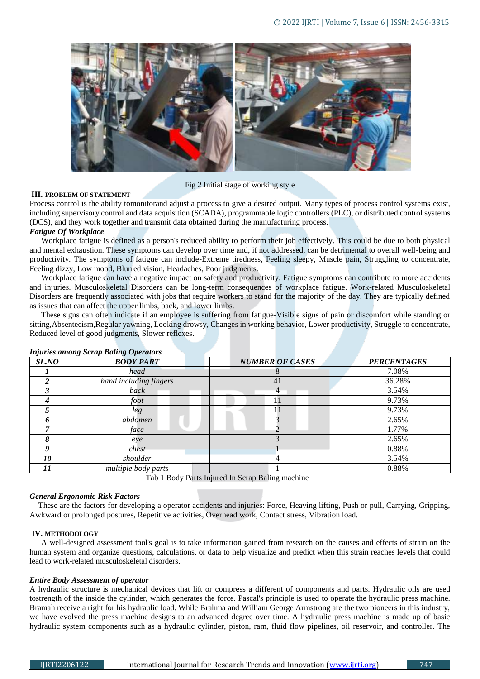

Fig 2 Initial stage of working style

# **III. PROBLEM OF STATEMENT**

Process control is the ability tomonitorand adjust a process to give a desired output. Many types of process control systems exist, including supervisory control and data acquisition (SCADA), programmable logic controllers (PLC), or distributed control systems (DCS), and they work together and transmit data obtained during the manufacturing process.

## *Fatigue Of Workplace*

Workplace fatigue is defined as a person's reduced ability to perform their job effectively. This could be due to both physical and mental exhaustion. These symptoms can develop over time and, if not addressed, can be detrimental to overall well-being and productivity. The symptoms of fatigue can include-Extreme tiredness, Feeling sleepy, Muscle pain, Struggling to concentrate, Feeling dizzy, Low mood, Blurred vision, Headaches, Poor judgments.

Workplace fatigue can have a negative impact on safety and productivity. Fatigue symptoms can contribute to more accidents and injuries. Musculoskeletal Disorders can be long-term consequences of workplace fatigue. Work-related Musculoskeletal Disorders are frequently associated with jobs that require workers to stand for the majority of the day. They are typically defined as issues that can affect the upper limbs, back, and lower limbs.

These signs can often indicate if an employee is suffering from fatigue-Visible signs of pain or discomfort while standing or sitting,Absenteeism,Regular yawning, Looking drowsy, Changes in working behavior, Lower productivity, Struggle to concentrate, Reduced level of good judgments, Slower reflexes.

| Injuries among Scrup Dating Operators |                        |                        |                    |  |  |  |  |  |  |
|---------------------------------------|------------------------|------------------------|--------------------|--|--|--|--|--|--|
| SL.NO                                 | <b>BODY PART</b>       | <b>NUMBER OF CASES</b> | <b>PERCENTAGES</b> |  |  |  |  |  |  |
|                                       | head                   |                        | 7.08%              |  |  |  |  |  |  |
|                                       | hand including fingers | 41                     | 36.28%             |  |  |  |  |  |  |
|                                       | back                   | 4                      | 3.54%              |  |  |  |  |  |  |
|                                       | foot                   | 11                     | 9.73%              |  |  |  |  |  |  |
|                                       | leg                    | 11                     | 9.73%              |  |  |  |  |  |  |
|                                       | abdomen                |                        | 2.65%              |  |  |  |  |  |  |
|                                       | face                   |                        | 1.77%              |  |  |  |  |  |  |
|                                       | eye                    |                        | 2.65%              |  |  |  |  |  |  |
|                                       | chest                  |                        | 0.88%              |  |  |  |  |  |  |
| 10                                    | shoulder               | 4                      | 3.54%              |  |  |  |  |  |  |
|                                       | multiple body parts    |                        | 0.88%              |  |  |  |  |  |  |

# *Injuries among Scrap Baling Operators*

Tab 1 Body Parts Injured In Scrap Baling machine

#### *General Ergonomic Risk Factors*

These are the factors for developing a operator accidents and injuries: Force, Heaving lifting, Push or pull, Carrying, Gripping, Awkward or prolonged postures, Repetitive activities, Overhead work, Contact stress, Vibration load.

#### **IV. METHODOLOGY**

A well-designed assessment tool's goal is to take information gained from research on the causes and effects of strain on the human system and organize questions, calculations, or data to help visualize and predict when this strain reaches levels that could lead to work-related musculoskeletal disorders.

#### *Entire Body Assessment of operator*

A hydraulic structure is mechanical devices that lift or compress a different of components and parts. Hydraulic oils are used tostrength of the inside the cylinder, which generates the force. Pascal's principle is used to operate the hydraulic press machine. Bramah receive a right for his hydraulic load. While Brahma and William George Armstrong are the two pioneers in this industry, we have evolved the press machine designs to an advanced degree over time. A hydraulic press machine is made up of basic hydraulic system components such as a hydraulic cylinder, piston, ram, fluid flow pipelines, oil reservoir, and controller. The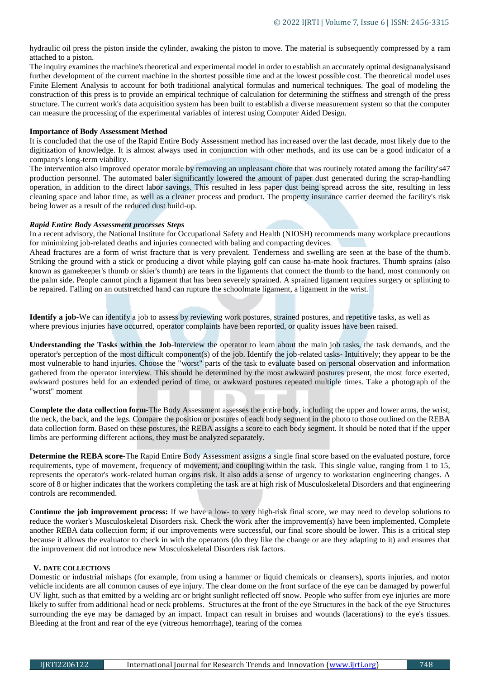hydraulic oil press the piston inside the cylinder, awaking the piston to move. The material is subsequently compressed by a ram attached to a piston.

The inquiry examines the machine's theoretical and experimental model in order to establish an accurately optimal designanalysisand further development of the current machine in the shortest possible time and at the lowest possible cost. The theoretical model uses Finite Element Analysis to account for both traditional analytical formulas and numerical techniques. The goal of modeling the construction of this press is to provide an empirical technique of calculation for determining the stiffness and strength of the press structure. The current work's data acquisition system has been built to establish a diverse measurement system so that the computer can measure the processing of the experimental variables of interest using Computer Aided Design.

#### **Importance of Body Assessment Method**

It is concluded that the use of the Rapid Entire Body Assessment method has increased over the last decade, most likely due to the digitization of knowledge. It is almost always used in conjunction with other methods, and its use can be a good indicator of a company's long-term viability.

The intervention also improved operator morale by removing an unpleasant chore that was routinely rotated among the facility's47 production personnel. The automated baler significantly lowered the amount of paper dust generated during the scrap-handling operation, in addition to the direct labor savings. This resulted in less paper dust being spread across the site, resulting in less cleaning space and labor time, as well as a cleaner process and product. The property insurance carrier deemed the facility's risk being lower as a result of the reduced dust build-up.

## *Rapid Entire Body Assessment processes Steps*

In a recent advisory, the National Institute for Occupational Safety and Health (NIOSH) recommends many workplace precautions for minimizing job-related deaths and injuries connected with baling and compacting devices.

Ahead fractures are a form of wrist fracture that is very prevalent. Tenderness and swelling are seen at the base of the thumb. Striking the ground with a stick or producing a divot while playing golf can cause ha-mate hook fractures. Thumb sprains (also known as gamekeeper's thumb or skier's thumb) are tears in the ligaments that connect the thumb to the hand, most commonly on the palm side. People cannot pinch a ligament that has been severely sprained. A sprained ligament requires surgery or splinting to be repaired. Falling on an outstretched hand can rupture the schoolmate ligament, a ligament in the wrist.

**Identify a job-**We can identify a job to assess by reviewing work postures, strained postures, and repetitive tasks, as well as where previous injuries have occurred, operator complaints have been reported, or quality issues have been raised.

**Understanding the Tasks within the Job**-Interview the operator to learn about the main job tasks, the task demands, and the operator's perception of the most difficult component(s) of the job. Identify the job-related tasks- Intuitively; they appear to be the most vulnerable to hand injuries. Choose the "worst" parts of the task to evaluate based on personal observation and information gathered from the operator interview. This should be determined by the most awkward postures present, the most force exerted, awkward postures held for an extended period of time, or awkward postures repeated multiple times. Take a photograph of the "worst" moment

**Complete the data collection form-**The Body Assessment assesses the entire body, including the upper and lower arms, the wrist, the neck, the back, and the legs. Compare the position or postures of each body segment in the photo to those outlined on the REBA data collection form. Based on these postures, the REBA assigns a score to each body segment. It should be noted that if the upper limbs are performing different actions, they must be analyzed separately.

**Determine the REBA score-**The Rapid Entire Body Assessment assigns a single final score based on the evaluated posture, force requirements, type of movement, frequency of movement, and coupling within the task. This single value, ranging from 1 to 15, represents the operator's work-related human organs risk. It also adds a sense of urgency to workstation engineering changes. A score of 8 or higher indicates that the workers completing the task are at high risk of Musculoskeletal Disorders and that engineering controls are recommended.

**Continue the job improvement process:** If we have a low- to very high-risk final score, we may need to develop solutions to reduce the worker's Musculoskeletal Disorders risk. Check the work after the improvement(s) have been implemented. Complete another REBA data collection form; if our improvements were successful, our final score should be lower. This is a critical step because it allows the evaluator to check in with the operators (do they like the change or are they adapting to it) and ensures that the improvement did not introduce new Musculoskeletal Disorders risk factors.

#### **V. DATE COLLECTIONS**

Domestic or industrial mishaps (for example, from using a hammer or liquid chemicals or cleansers), sports injuries, and motor vehicle incidents are all common causes of eye injury. The clear dome on the front surface of the eye can be damaged by powerful UV light, such as that emitted by a welding arc or bright sunlight reflected off snow. People who suffer from eye injuries are more likely to suffer from additional head or neck problems. Structures at the front of the eye Structures in the back of the eye Structures surrounding the eye may be damaged by an impact. Impact can result in bruises and wounds (lacerations) to the eye's tissues. Bleeding at the front and rear of the eye (vitreous hemorrhage), tearing of the cornea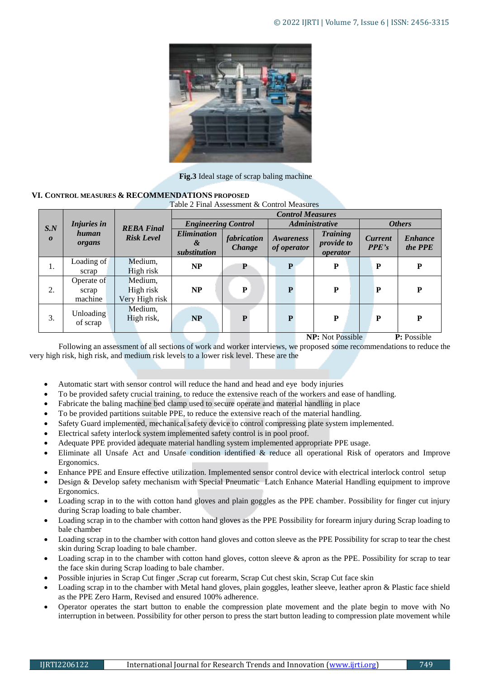

**Fig.3** Ideal stage of scrap baling machine

# **VI. CONTROL MEASURES & RECOMMENDATIONS PROPOSED**

Table 2 Final Assessment & Control Measures

|                         | Injuries in<br>human<br>organs | <b>REBA Final</b><br><b>Risk Level</b> | <b>Control Measures</b>                 |                              |                          |                                           |                         |                           |
|-------------------------|--------------------------------|----------------------------------------|-----------------------------------------|------------------------------|--------------------------|-------------------------------------------|-------------------------|---------------------------|
| S.N<br>$\boldsymbol{o}$ |                                |                                        | <b>Engineering Control</b>              |                              | Administrative           |                                           | <b>Others</b>           |                           |
|                         |                                |                                        | <b>Elimination</b><br>&<br>substitution | fabrication<br><b>Change</b> | Awareness<br>of operator | <b>Training</b><br>provide to<br>operator | <b>Current</b><br>PPE's | <b>Enhance</b><br>the PPE |
| 1.                      | Loading of<br>scrap            | Medium,<br>High risk                   | NP                                      | P                            | P                        | P                                         | P                       | P                         |
| 2.                      | Operate of<br>scrap<br>machine | Medium,<br>High risk<br>Very High risk | NP                                      | P                            | P                        | P                                         | P                       | P                         |
| 3.                      | Unloading<br>of scrap          | Medium,<br>High risk,                  | NP                                      | P                            | $\mathbf{P}$             | P                                         | P                       | $\mathbf{P}$              |

 **NP:** Not Possible **P:** Possible

Following an assessment of all sections of work and worker interviews, we proposed some recommendations to reduce the very high risk, high risk, and medium risk levels to a lower risk level. These are the

- Automatic start with sensor control will reduce the hand and head and eye body injuries
- To be provided safety crucial training, to reduce the extensive reach of the workers and ease of handling.
- Fabricate the baling machine bed clamp used to secure operate and material handling in place
- To be provided partitions suitable PPE, to reduce the extensive reach of the material handling.
- Safety Guard implemented, mechanical safety device to control compressing plate system implemented.
- Electrical safety interlock system implemented safety control is in pool proof.
- Adequate PPE provided adequate material handling system implemented appropriate PPE usage.
- Eliminate all Unsafe Act and Unsafe condition identified & reduce all operational Risk of operators and Improve Ergonomics.
- Enhance PPE and Ensure effective utilization. Implemented sensor control device with electrical interlock control setup
- Design & Develop safety mechanism with Special Pneumatic Latch Enhance Material Handling equipment to improve Ergonomics.
- Loading scrap in to the with cotton hand gloves and plain goggles as the PPE chamber. Possibility for finger cut injury during Scrap loading to bale chamber.
- Loading scrap in to the chamber with cotton hand gloves as the PPE Possibility for forearm injury during Scrap loading to bale chamber
- Loading scrap in to the chamber with cotton hand gloves and cotton sleeve as the PPE Possibility for scrap to tear the chest skin during Scrap loading to bale chamber.
- Loading scrap in to the chamber with cotton hand gloves, cotton sleeve & apron as the PPE. Possibility for scrap to tear the face skin during Scrap loading to bale chamber.
- Possible injuries in Scrap Cut finger ,Scrap cut forearm, Scrap Cut chest skin, Scrap Cut face skin
- Loading scrap in to the chamber with Metal hand gloves, plain goggles, leather sleeve, leather apron & Plastic face shield as the PPE Zero Harm, Revised and ensured 100% adherence.
- Operator operates the start button to enable the compression plate movement and the plate begin to move with No interruption in between. Possibility for other person to press the start button leading to compression plate movement while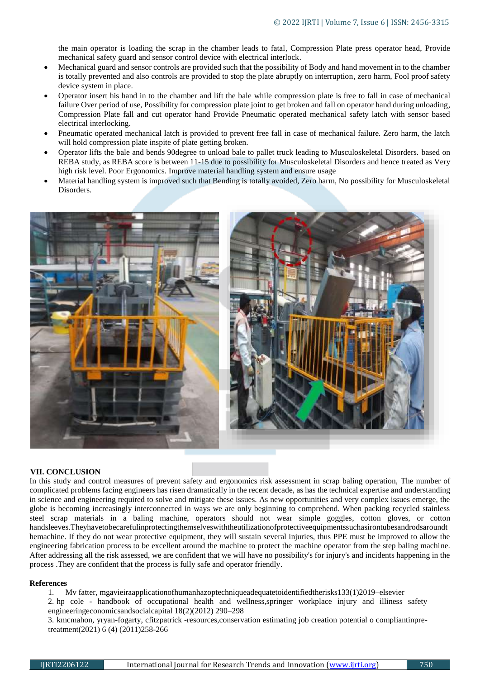the main operator is loading the scrap in the chamber leads to fatal, Compression Plate press operator head, Provide mechanical safety guard and sensor control device with electrical interlock.

- Mechanical guard and sensor controls are provided such that the possibility of Body and hand movement in to the chamber is totally prevented and also controls are provided to stop the plate abruptly on interruption, zero harm, Fool proof safety device system in place.
- Operator insert his hand in to the chamber and lift the bale while compression plate is free to fall in case of mechanical failure Over period of use, Possibility for compression plate joint to get broken and fall on operator hand during unloading, Compression Plate fall and cut operator hand Provide Pneumatic operated mechanical safety latch with sensor based electrical interlocking.
- Pneumatic operated mechanical latch is provided to prevent free fall in case of mechanical failure. Zero harm, the latch will hold compression plate inspite of plate getting broken.
- Operator lifts the bale and bends 90degree to unload bale to pallet truck leading to Musculoskeletal Disorders. based on REBA study, as REBA score is between 11-15 due to possibility for Musculoskeletal Disorders and hence treated as Very high risk level. Poor Ergonomics. Improve material handling system and ensure usage
- Material handling system is improved such that Bending is totally avoided, Zero harm, No possibility for Musculoskeletal Disorders.





# **VII. CONCLUSION**

In this study and control measures of prevent safety and ergonomics risk assessment in scrap baling operation, The number of complicated problems facing engineers has risen dramatically in the recent decade, as has the technical expertise and understanding in science and engineering required to solve and mitigate these issues. As new opportunities and very complex issues emerge, the globe is becoming increasingly interconnected in ways we are only beginning to comprehend. When packing recycled stainless steel scrap materials in a baling machine, operators should not wear simple goggles, cotton gloves, or cotton handsleeves.Theyhavetobecarefulinprotectingthemselveswiththeutilizationofprotectiveequipmentssuchasirontubesandrodsaroundt hemachine. If they do not wear protective equipment, they will sustain several injuries, thus PPE must be improved to allow the engineering fabrication process to be excellent around the machine to protect the machine operator from the step baling machine. After addressing all the risk assessed, we are confident that we will have no possibility's for injury's and incidents happening in the process .They are confident that the process is fully safe and operator friendly.

#### **References**

1. Mv fatter[, mgavieiraa](https://scholar.google.com/citations?user=1kmbbjMAAAAJ&hl=en&oi=sra)pplicationofhumanhazoptechniqueadequatetoidentifiedtherisks133(1)2019–elsevier

2. hp cole - handbook of occupational health and wellness,springer workplace injury and illiness safety engineeringeconomicsandsocialcapital 18(2)(2012) 290–298

3. kmcmahon, [yryan-fogarty,](https://scholar.google.com/citations?user=Bwe47mQAAAAJ&hl=en&oi=sra) [cfitzpatrick -](https://scholar.google.com/citations?user=Tb-HLZMAAAAJ&hl=en&oi=sra)resources,conservation estimating job creation potential o compliantinpretreatment(2021) 6 (4) (2011)258-266